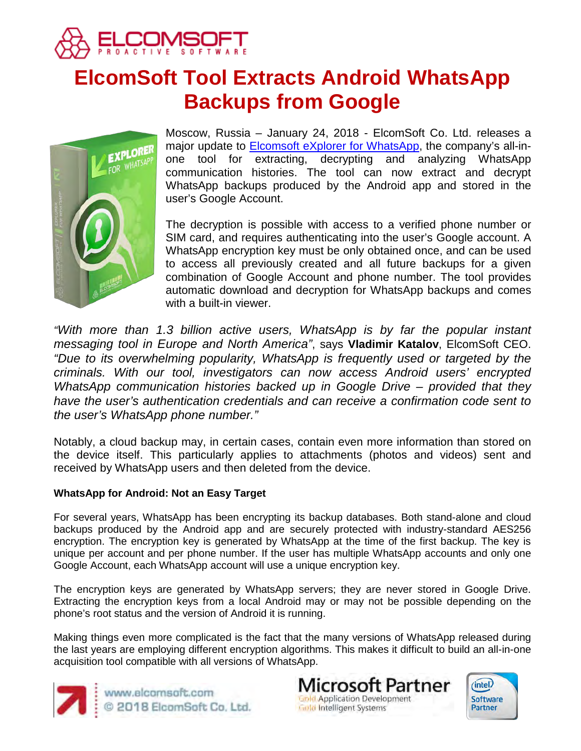

# **ElcomSoft Tool Extracts Android WhatsApp Backups from Google**



Moscow, Russia – January 24, 2018 - ElcomSoft Co. Ltd. releases a major update to [Elcomsoft eXplorer for WhatsApp,](https://www.elcomsoft.com/exwa.html) the company's all-inone tool for extracting, decrypting and analyzing WhatsApp communication histories. The tool can now extract and decrypt WhatsApp backups produced by the Android app and stored in the user's Google Account.

The decryption is possible with access to a verified phone number or SIM card, and requires authenticating into the user's Google account. A WhatsApp encryption key must be only obtained once, and can be used to access all previously created and all future backups for a given combination of Google Account and phone number. The tool provides automatic download and decryption for WhatsApp backups and comes with a built-in viewer.

*"With more than 1.3 billion active users, WhatsApp is by far the popular instant messaging tool in Europe and North America"*, says **Vladimir Katalov**, ElcomSoft CEO. *"Due to its overwhelming popularity, WhatsApp is frequently used or targeted by the criminals. With our tool, investigators can now access Android users' encrypted WhatsApp communication histories backed up in Google Drive – provided that they have the user's authentication credentials and can receive a confirmation code sent to the user's WhatsApp phone number."*

Notably, a cloud backup may, in certain cases, contain even more information than stored on the device itself. This particularly applies to attachments (photos and videos) sent and received by WhatsApp users and then deleted from the device.

## **WhatsApp for Android: Not an Easy Target**

For several years, WhatsApp has been encrypting its backup databases. Both stand-alone and cloud backups produced by the Android app and are securely protected with industry-standard AES256 encryption. The encryption key is generated by WhatsApp at the time of the first backup. The key is unique per account and per phone number. If the user has multiple WhatsApp accounts and only one Google Account, each WhatsApp account will use a unique encryption key.

The encryption keys are generated by WhatsApp servers; they are never stored in Google Drive. Extracting the encryption keys from a local Android may or may not be possible depending on the phone's root status and the version of Android it is running.

Making things even more complicated is the fact that the many versions of WhatsApp released during the last years are employing different encryption algorithms. This makes it difficult to build an all-in-one acquisition tool compatible with all versions of WhatsApp.



www.elcomsoft.com © 2018 ElcomSoft Co. Ltd.